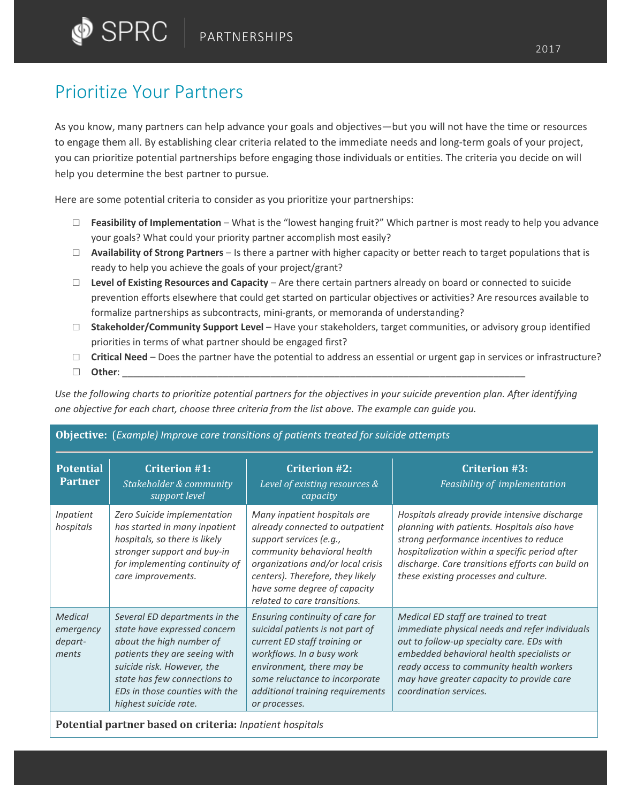## Prioritize Your Partners

As you know, many partners can help advance your goals and objectives—but you will not have the time or resources to engage them all. By establishing clear criteria related to the immediate needs and long-term goals of your project, you can prioritize potential partnerships before engaging those individuals or entities. The criteria you decide on will help you determine the best partner to pursue.

Here are some potential criteria to consider as you prioritize your partnerships:

**Objective:** (*Example) Improve care transitions of patients treated for suicide attempts*

- □ **Feasibility of Implementation** What is the "lowest hanging fruit?" Which partner is most ready to help you advance your goals? What could your priority partner accomplish most easily?
- □ **Availability of Strong Partners** Is there a partner with higher capacity or better reach to target populations that is ready to help you achieve the goals of your project/grant?
- □ **Level of Existing Resources and Capacity** Are there certain partners already on board or connected to suicide prevention efforts elsewhere that could get started on particular objectives or activities? Are resources available to formalize partnerships as subcontracts, mini-grants, or memoranda of understanding?
- □ **Stakeholder/Community Support Level** Have your stakeholders, target communities, or advisory group identified priorities in terms of what partner should be engaged first?
- $\Box$  **Critical Need** Does the partner have the potential to address an essential or urgent gap in services or infrastructure?

□ **Other**: \_\_\_\_\_\_\_\_\_\_\_\_\_\_\_\_\_\_\_\_\_\_\_\_\_\_\_\_\_\_\_\_\_\_\_\_\_\_\_\_\_\_\_\_\_\_\_\_\_\_\_\_\_\_\_\_\_\_\_\_\_\_\_\_\_\_\_\_\_\_\_\_\_\_\_\_

*Use the following charts to prioritize potential partners for the objectives in your suicide prevention plan. After identifying one objective for each chart, choose three criteria from the list above. The example can guide you.*

| <b>Potential</b><br><b>Partner</b>       | <b>Criterion #1:</b><br>Stakeholder & community<br>support level                                                                                                                                                                                    | <b>Criterion #2:</b><br>Level of existing resources &<br>capacity                                                                                                                                                                                                  | <b>Criterion #3:</b><br>Feasibility of implementation                                                                                                                                                                                                                                                |
|------------------------------------------|-----------------------------------------------------------------------------------------------------------------------------------------------------------------------------------------------------------------------------------------------------|--------------------------------------------------------------------------------------------------------------------------------------------------------------------------------------------------------------------------------------------------------------------|------------------------------------------------------------------------------------------------------------------------------------------------------------------------------------------------------------------------------------------------------------------------------------------------------|
| Inpatient<br>hospitals                   | Zero Suicide implementation<br>has started in many inpatient<br>hospitals, so there is likely<br>stronger support and buy-in<br>for implementing continuity of<br>care improvements.                                                                | Many inpatient hospitals are<br>already connected to outpatient<br>support services (e.g.,<br>community behavioral health<br>organizations and/or local crisis<br>centers). Therefore, they likely<br>have some degree of capacity<br>related to care transitions. | Hospitals already provide intensive discharge<br>planning with patients. Hospitals also have<br>strong performance incentives to reduce<br>hospitalization within a specific period after<br>discharge. Care transitions efforts can build on<br>these existing processes and culture.               |
| Medical<br>emergency<br>depart-<br>ments | Several ED departments in the<br>state have expressed concern<br>about the high number of<br>patients they are seeing with<br>suicide risk. However, the<br>state has few connections to<br>EDs in those counties with the<br>highest suicide rate. | Ensuring continuity of care for<br>suicidal patients is not part of<br>current ED staff training or<br>workflows. In a busy work<br>environment, there may be<br>some reluctance to incorporate<br>additional training requirements<br>or processes.               | Medical ED staff are trained to treat<br>immediate physical needs and refer individuals<br>out to follow-up specialty care. EDs with<br>embedded behavioral health specialists or<br>ready access to community health workers<br>may have greater capacity to provide care<br>coordination services. |

**Potential partner based on criteria:** *Inpatient hospitals*